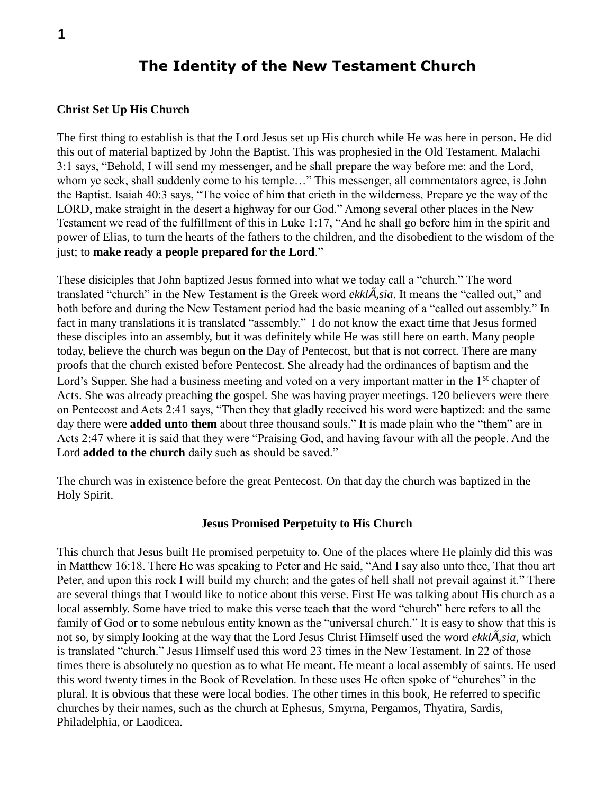# **The Identity of the New Testament Church**

#### **Christ Set Up His Church**

The first thing to establish is that the Lord Jesus set up His church while He was here in person. He did this out of material baptized by John the Baptist. This was prophesied in the Old Testament. Malachi 3:1 says, "Behold, I will send my messenger, and he shall prepare the way before me: and the Lord, whom ye seek, shall suddenly come to his temple…" This messenger, all commentators agree, is John the Baptist. Isaiah 40:3 says, "The voice of him that crieth in the wilderness, Prepare ye the way of the LORD, make straight in the desert a highway for our God." Among several other places in the New Testament we read of the fulfillment of this in Luke 1:17, "And he shall go before him in the spirit and power of Elias, to turn the hearts of the fathers to the children, and the disobedient to the wisdom of the just; to **make ready a people prepared for the Lord**."

These disiciples that John baptized Jesus formed into what we today call a "church." The word translated "church" in the New Testament is the Greek word *ekklÂsia*. It means the "called out," and both before and during the New Testament period had the basic meaning of a "called out assembly." In fact in many translations it is translated "assembly." I do not know the exact time that Jesus formed these disciples into an assembly, but it was definitely while He was still here on earth. Many people today, believe the church was begun on the Day of Pentecost, but that is not correct. There are many proofs that the church existed before Pentecost. She already had the ordinances of baptism and the Lord's Supper. She had a business meeting and voted on a very important matter in the 1<sup>st</sup> chapter of Acts. She was already preaching the gospel. She was having prayer meetings. 120 believers were there on Pentecost and Acts 2:41 says, "Then they that gladly received his word were baptized: and the same day there were **added unto them** about three thousand souls." It is made plain who the "them" are in Acts 2:47 where it is said that they were "Praising God, and having favour with all the people. And the Lord **added to the church** daily such as should be saved."

The church was in existence before the great Pentecost. On that day the church was baptized in the Holy Spirit.

#### **Jesus Promised Perpetuity to His Church**

This church that Jesus built He promised perpetuity to. One of the places where He plainly did this was in Matthew 16:18. There He was speaking to Peter and He said, "And I say also unto thee, That thou art Peter, and upon this rock I will build my church; and the gates of hell shall not prevail against it." There are several things that I would like to notice about this verse. First He was talking about His church as a local assembly. Some have tried to make this verse teach that the word "church" here refers to all the family of God or to some nebulous entity known as the "universal church." It is easy to show that this is not so, by simply looking at the way that the Lord Jesus Christ Himself used the word *ekklÂsia*, which is translated "church." Jesus Himself used this word 23 times in the New Testament. In 22 of those times there is absolutely no question as to what He meant. He meant a local assembly of saints. He used this word twenty times in the Book of Revelation. In these uses He often spoke of "churches" in the plural. It is obvious that these were local bodies. The other times in this book, He referred to specific churches by their names, such as the church at Ephesus, Smyrna, Pergamos, Thyatira, Sardis, Philadelphia, or Laodicea.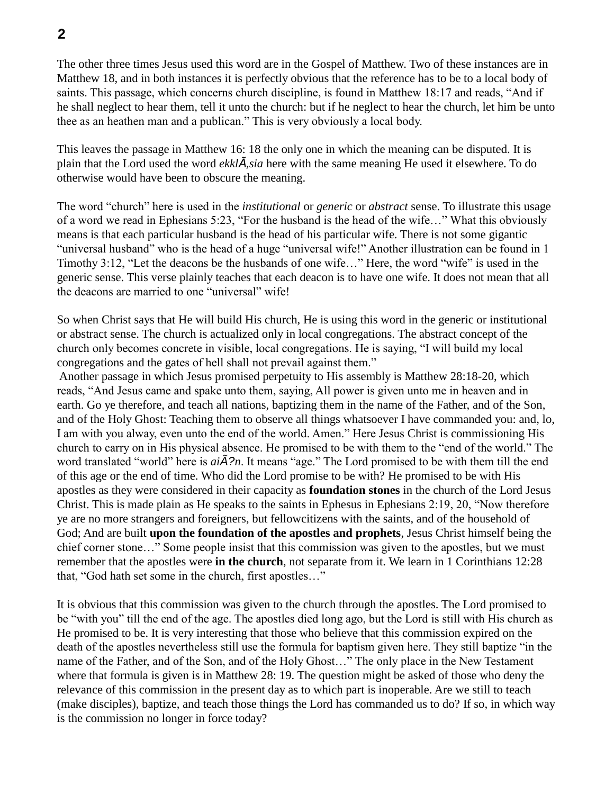The other three times Jesus used this word are in the Gospel of Matthew. Two of these instances are in Matthew 18, and in both instances it is perfectly obvious that the reference has to be to a local body of saints. This passage, which concerns church discipline, is found in Matthew 18:17 and reads, "And if he shall neglect to hear them, tell it unto the church: but if he neglect to hear the church, let him be unto thee as an heathen man and a publican." This is very obviously a local body.

This leaves the passage in Matthew 16: 18 the only one in which the meaning can be disputed. It is plain that the Lord used the word *ekklÂsia* here with the same meaning He used it elsewhere. To do otherwise would have been to obscure the meaning.

The word "church" here is used in the *institutional* or *generic* or *abstract* sense. To illustrate this usage of a word we read in Ephesians 5:23, "For the husband is the head of the wife…" What this obviously means is that each particular husband is the head of his particular wife. There is not some gigantic "universal husband" who is the head of a huge "universal wife!" Another illustration can be found in 1 Timothy 3:12, "Let the deacons be the husbands of one wife…" Here, the word "wife" is used in the generic sense. This verse plainly teaches that each deacon is to have one wife. It does not mean that all the deacons are married to one "universal" wife!

So when Christ says that He will build His church, He is using this word in the generic or institutional or abstract sense. The church is actualized only in local congregations. The abstract concept of the church only becomes concrete in visible, local congregations. He is saying, "I will build my local congregations and the gates of hell shall not prevail against them."

Another passage in which Jesus promised perpetuity to His assembly is Matthew 28:18-20, which reads, "And Jesus came and spake unto them, saying, All power is given unto me in heaven and in earth. Go ye therefore, and teach all nations, baptizing them in the name of the Father, and of the Son, and of the Holy Ghost: Teaching them to observe all things whatsoever I have commanded you: and, lo, I am with you alway, even unto the end of the world. Amen." Here Jesus Christ is commissioning His church to carry on in His physical absence. He promised to be with them to the "end of the world." The word translated "world" here is *aiÃ?n*. It means "age." The Lord promised to be with them till the end of this age or the end of time. Who did the Lord promise to be with? He promised to be with His apostles as they were considered in their capacity as **foundation stones** in the church of the Lord Jesus Christ. This is made plain as He speaks to the saints in Ephesus in Ephesians 2:19, 20, "Now therefore ye are no more strangers and foreigners, but fellowcitizens with the saints, and of the household of God; And are built **upon the foundation of the apostles and prophets**, Jesus Christ himself being the chief corner stone…" Some people insist that this commission was given to the apostles, but we must remember that the apostles were **in the church**, not separate from it. We learn in 1 Corinthians 12:28 that, "God hath set some in the church, first apostles…"

It is obvious that this commission was given to the church through the apostles. The Lord promised to be "with you" till the end of the age. The apostles died long ago, but the Lord is still with His church as He promised to be. It is very interesting that those who believe that this commission expired on the death of the apostles nevertheless still use the formula for baptism given here. They still baptize "in the name of the Father, and of the Son, and of the Holy Ghost…" The only place in the New Testament where that formula is given is in Matthew 28: 19. The question might be asked of those who deny the relevance of this commission in the present day as to which part is inoperable. Are we still to teach (make disciples), baptize, and teach those things the Lord has commanded us to do? If so, in which way is the commission no longer in force today?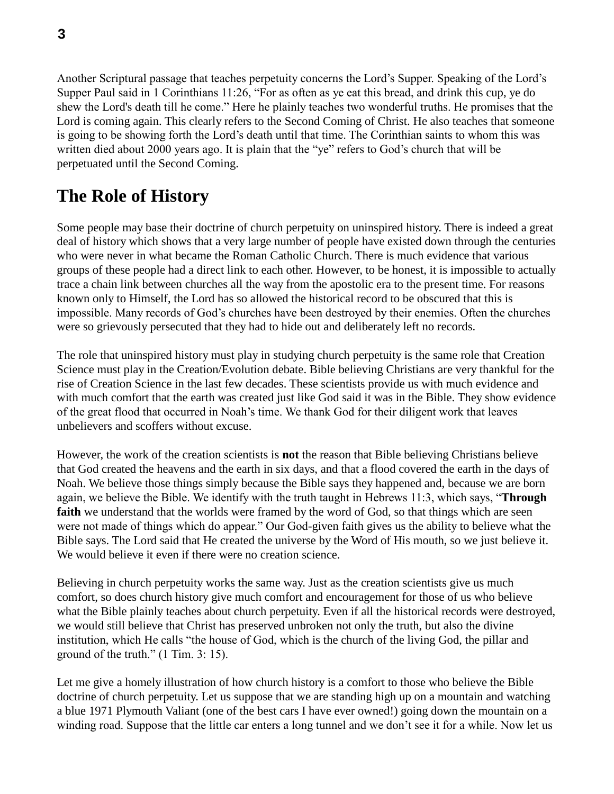Another Scriptural passage that teaches perpetuity concerns the Lord's Supper. Speaking of the Lord's Supper Paul said in 1 Corinthians 11:26, "For as often as ye eat this bread, and drink this cup, ye do shew the Lord's death till he come." Here he plainly teaches two wonderful truths. He promises that the Lord is coming again. This clearly refers to the Second Coming of Christ. He also teaches that someone is going to be showing forth the Lord's death until that time. The Corinthian saints to whom this was written died about 2000 years ago. It is plain that the "ye" refers to God's church that will be perpetuated until the Second Coming.

# **The Role of History**

Some people may base their doctrine of church perpetuity on uninspired history. There is indeed a great deal of history which shows that a very large number of people have existed down through the centuries who were never in what became the Roman Catholic Church. There is much evidence that various groups of these people had a direct link to each other. However, to be honest, it is impossible to actually trace a chain link between churches all the way from the apostolic era to the present time. For reasons known only to Himself, the Lord has so allowed the historical record to be obscured that this is impossible. Many records of God's churches have been destroyed by their enemies. Often the churches were so grievously persecuted that they had to hide out and deliberately left no records.

The role that uninspired history must play in studying church perpetuity is the same role that Creation Science must play in the Creation/Evolution debate. Bible believing Christians are very thankful for the rise of Creation Science in the last few decades. These scientists provide us with much evidence and with much comfort that the earth was created just like God said it was in the Bible. They show evidence of the great flood that occurred in Noah's time. We thank God for their diligent work that leaves unbelievers and scoffers without excuse.

However, the work of the creation scientists is **not** the reason that Bible believing Christians believe that God created the heavens and the earth in six days, and that a flood covered the earth in the days of Noah. We believe those things simply because the Bible says they happened and, because we are born again, we believe the Bible. We identify with the truth taught in Hebrews 11:3, which says, "**Through**  faith we understand that the worlds were framed by the word of God, so that things which are seen were not made of things which do appear." Our God-given faith gives us the ability to believe what the Bible says. The Lord said that He created the universe by the Word of His mouth, so we just believe it. We would believe it even if there were no creation science.

Believing in church perpetuity works the same way. Just as the creation scientists give us much comfort, so does church history give much comfort and encouragement for those of us who believe what the Bible plainly teaches about church perpetuity. Even if all the historical records were destroyed, we would still believe that Christ has preserved unbroken not only the truth, but also the divine institution, which He calls "the house of God, which is the church of the living God, the pillar and ground of the truth." (1 Tim. 3: 15).

Let me give a homely illustration of how church history is a comfort to those who believe the Bible doctrine of church perpetuity. Let us suppose that we are standing high up on a mountain and watching a blue 1971 Plymouth Valiant (one of the best cars I have ever owned!) going down the mountain on a winding road. Suppose that the little car enters a long tunnel and we don't see it for a while. Now let us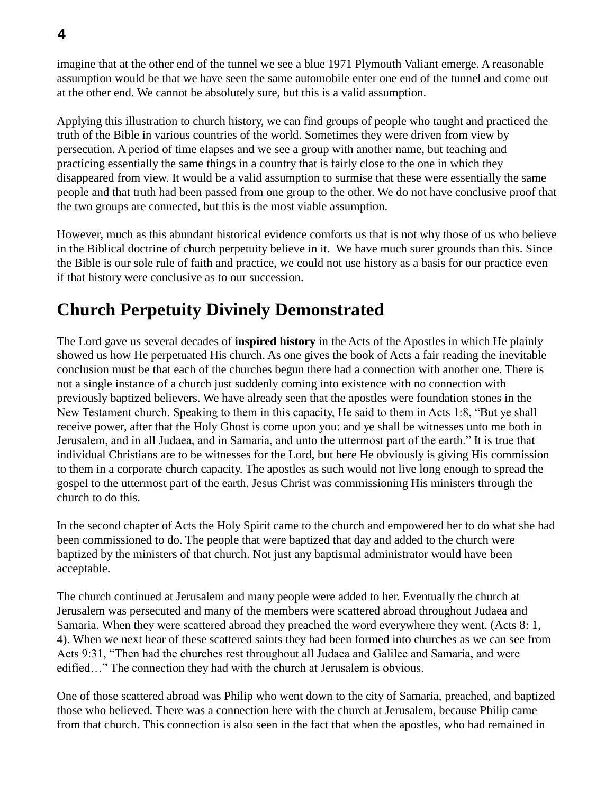imagine that at the other end of the tunnel we see a blue 1971 Plymouth Valiant emerge. A reasonable assumption would be that we have seen the same automobile enter one end of the tunnel and come out at the other end. We cannot be absolutely sure, but this is a valid assumption.

Applying this illustration to church history, we can find groups of people who taught and practiced the truth of the Bible in various countries of the world. Sometimes they were driven from view by persecution. A period of time elapses and we see a group with another name, but teaching and practicing essentially the same things in a country that is fairly close to the one in which they disappeared from view. It would be a valid assumption to surmise that these were essentially the same people and that truth had been passed from one group to the other. We do not have conclusive proof that the two groups are connected, but this is the most viable assumption.

However, much as this abundant historical evidence comforts us that is not why those of us who believe in the Biblical doctrine of church perpetuity believe in it. We have much surer grounds than this. Since the Bible is our sole rule of faith and practice, we could not use history as a basis for our practice even if that history were conclusive as to our succession.

# **Church Perpetuity Divinely Demonstrated**

The Lord gave us several decades of **inspired history** in the Acts of the Apostles in which He plainly showed us how He perpetuated His church. As one gives the book of Acts a fair reading the inevitable conclusion must be that each of the churches begun there had a connection with another one. There is not a single instance of a church just suddenly coming into existence with no connection with previously baptized believers. We have already seen that the apostles were foundation stones in the New Testament church. Speaking to them in this capacity, He said to them in Acts 1:8, "But ye shall receive power, after that the Holy Ghost is come upon you: and ye shall be witnesses unto me both in Jerusalem, and in all Judaea, and in Samaria, and unto the uttermost part of the earth." It is true that individual Christians are to be witnesses for the Lord, but here He obviously is giving His commission to them in a corporate church capacity. The apostles as such would not live long enough to spread the gospel to the uttermost part of the earth. Jesus Christ was commissioning His ministers through the church to do this.

In the second chapter of Acts the Holy Spirit came to the church and empowered her to do what she had been commissioned to do. The people that were baptized that day and added to the church were baptized by the ministers of that church. Not just any baptismal administrator would have been acceptable.

The church continued at Jerusalem and many people were added to her. Eventually the church at Jerusalem was persecuted and many of the members were scattered abroad throughout Judaea and Samaria. When they were scattered abroad they preached the word everywhere they went. (Acts 8: 1, 4). When we next hear of these scattered saints they had been formed into churches as we can see from Acts 9:31, "Then had the churches rest throughout all Judaea and Galilee and Samaria, and were edified…" The connection they had with the church at Jerusalem is obvious.

One of those scattered abroad was Philip who went down to the city of Samaria, preached, and baptized those who believed. There was a connection here with the church at Jerusalem, because Philip came from that church. This connection is also seen in the fact that when the apostles, who had remained in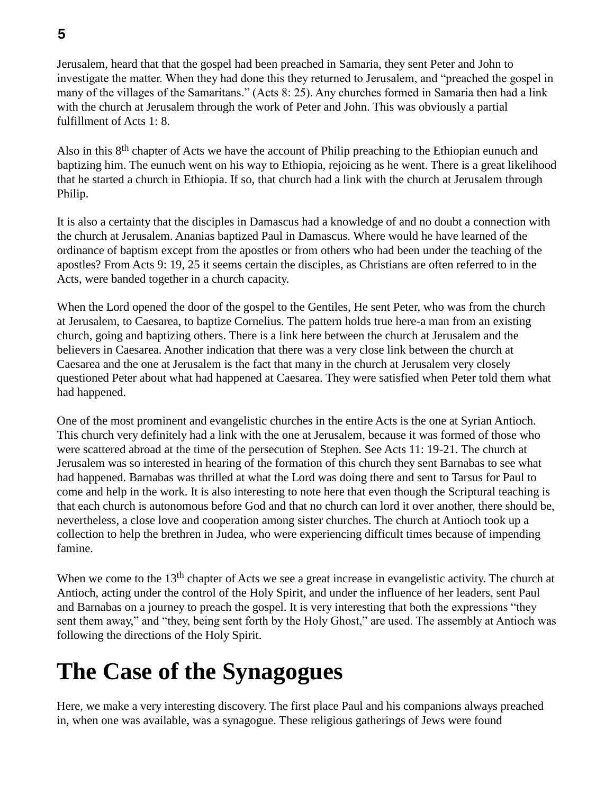**5**

Jerusalem, heard that that the gospel had been preached in Samaria, they sent Peter and John to investigate the matter. When they had done this they returned to Jerusalem, and "preached the gospel in many of the villages of the Samaritans." (Acts 8: 25). Any churches formed in Samaria then had a link with the church at Jerusalem through the work of Peter and John. This was obviously a partial fulfillment of Acts 1: 8.

Also in this 8<sup>th</sup> chapter of Acts we have the account of Philip preaching to the Ethiopian eunuch and baptizing him. The eunuch went on his way to Ethiopia, rejoicing as he went. There is a great likelihood that he started a church in Ethiopia. If so, that church had a link with the church at Jerusalem through Philip.

It is also a certainty that the disciples in Damascus had a knowledge of and no doubt a connection with the church at Jerusalem. Ananias baptized Paul in Damascus. Where would he have learned of the ordinance of baptism except from the apostles or from others who had been under the teaching of the apostles? From Acts 9: 19, 25 it seems certain the disciples, as Christians are often referred to in the Acts, were banded together in a church capacity.

When the Lord opened the door of the gospel to the Gentiles, He sent Peter, who was from the church at Jerusalem, to Caesarea, to baptize Cornelius. The pattern holds true here-a man from an existing church, going and baptizing others. There is a link here between the church at Jerusalem and the believers in Caesarea. Another indication that there was a very close link between the church at Caesarea and the one at Jerusalem is the fact that many in the church at Jerusalem very closely questioned Peter about what had happened at Caesarea. They were satisfied when Peter told them what had happened.

One of the most prominent and evangelistic churches in the entire Acts is the one at Syrian Antioch. This church very definitely had a link with the one at Jerusalem, because it was formed of those who were scattered abroad at the time of the persecution of Stephen. See Acts 11: 19-21. The church at Jerusalem was so interested in hearing of the formation of this church they sent Barnabas to see what had happened. Barnabas was thrilled at what the Lord was doing there and sent to Tarsus for Paul to come and help in the work. It is also interesting to note here that even though the Scriptural teaching is that each church is autonomous before God and that no church can lord it over another, there should be, nevertheless, a close love and cooperation among sister churches. The church at Antioch took up a collection to help the brethren in Judea, who were experiencing difficult times because of impending famine.

When we come to the 13<sup>th</sup> chapter of Acts we see a great increase in evangelistic activity. The church at Antioch, acting under the control of the Holy Spirit, and under the influence of her leaders, sent Paul and Barnabas on a journey to preach the gospel. It is very interesting that both the expressions "they sent them away," and "they, being sent forth by the Holy Ghost," are used. The assembly at Antioch was following the directions of the Holy Spirit.

# **The Case of the Synagogues**

Here, we make a very interesting discovery. The first place Paul and his companions always preached in, when one was available, was a synagogue. These religious gatherings of Jews were found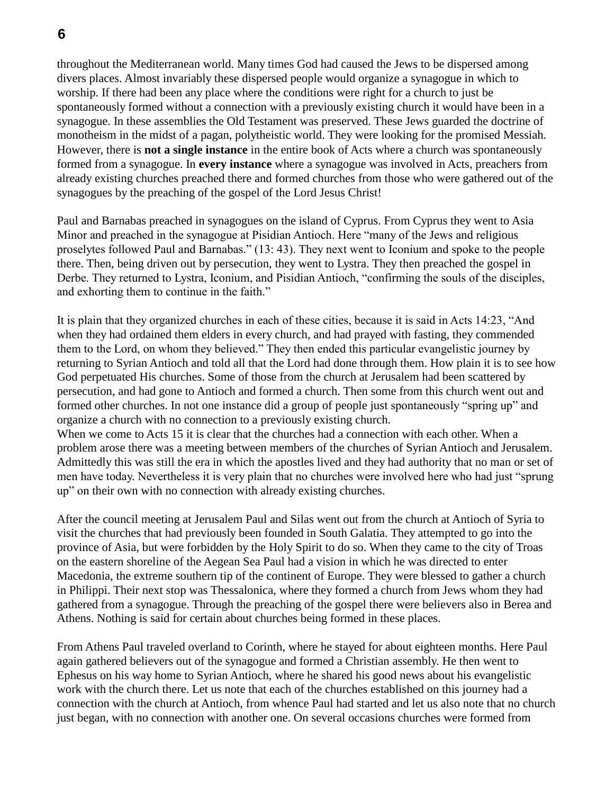throughout the Mediterranean world. Many times God had caused the Jews to be dispersed among divers places. Almost invariably these dispersed people would organize a synagogue in which to worship. If there had been any place where the conditions were right for a church to just be spontaneously formed without a connection with a previously existing church it would have been in a synagogue. In these assemblies the Old Testament was preserved. These Jews guarded the doctrine of

monotheism in the midst of a pagan, polytheistic world. They were looking for the promised Messiah. However, there is **not a single instance** in the entire book of Acts where a church was spontaneously formed from a synagogue. In **every instance** where a synagogue was involved in Acts, preachers from already existing churches preached there and formed churches from those who were gathered out of the synagogues by the preaching of the gospel of the Lord Jesus Christ!

Paul and Barnabas preached in synagogues on the island of Cyprus. From Cyprus they went to Asia Minor and preached in the synagogue at Pisidian Antioch. Here "many of the Jews and religious proselytes followed Paul and Barnabas." (13: 43). They next went to Iconium and spoke to the people there. Then, being driven out by persecution, they went to Lystra. They then preached the gospel in Derbe. They returned to Lystra, Iconium, and Pisidian Antioch, "confirming the souls of the disciples, and exhorting them to continue in the faith."

It is plain that they organized churches in each of these cities, because it is said in Acts 14:23, "And when they had ordained them elders in every church, and had prayed with fasting, they commended them to the Lord, on whom they believed." They then ended this particular evangelistic journey by returning to Syrian Antioch and told all that the Lord had done through them. How plain it is to see how God perpetuated His churches. Some of those from the church at Jerusalem had been scattered by persecution, and had gone to Antioch and formed a church. Then some from this church went out and formed other churches. In not one instance did a group of people just spontaneously "spring up" and organize a church with no connection to a previously existing church.

When we come to Acts 15 it is clear that the churches had a connection with each other. When a problem arose there was a meeting between members of the churches of Syrian Antioch and Jerusalem. Admittedly this was still the era in which the apostles lived and they had authority that no man or set of men have today. Nevertheless it is very plain that no churches were involved here who had just "sprung up" on their own with no connection with already existing churches.

After the council meeting at Jerusalem Paul and Silas went out from the church at Antioch of Syria to visit the churches that had previously been founded in South Galatia. They attempted to go into the province of Asia, but were forbidden by the Holy Spirit to do so. When they came to the city of Troas on the eastern shoreline of the Aegean Sea Paul had a vision in which he was directed to enter Macedonia, the extreme southern tip of the continent of Europe. They were blessed to gather a church in Philippi. Their next stop was Thessalonica, where they formed a church from Jews whom they had gathered from a synagogue. Through the preaching of the gospel there were believers also in Berea and Athens. Nothing is said for certain about churches being formed in these places.

From Athens Paul traveled overland to Corinth, where he stayed for about eighteen months. Here Paul again gathered believers out of the synagogue and formed a Christian assembly. He then went to Ephesus on his way home to Syrian Antioch, where he shared his good news about his evangelistic work with the church there. Let us note that each of the churches established on this journey had a connection with the church at Antioch, from whence Paul had started and let us also note that no church just began, with no connection with another one. On several occasions churches were formed from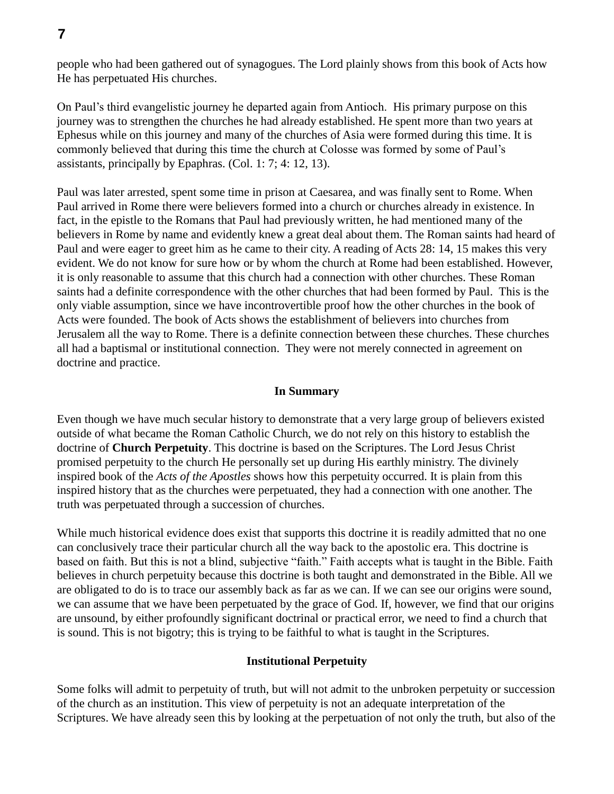people who had been gathered out of synagogues. The Lord plainly shows from this book of Acts how He has perpetuated His churches.

On Paul's third evangelistic journey he departed again from Antioch. His primary purpose on this journey was to strengthen the churches he had already established. He spent more than two years at Ephesus while on this journey and many of the churches of Asia were formed during this time. It is commonly believed that during this time the church at Colosse was formed by some of Paul's assistants, principally by Epaphras. (Col. 1: 7; 4: 12, 13).

Paul was later arrested, spent some time in prison at Caesarea, and was finally sent to Rome. When Paul arrived in Rome there were believers formed into a church or churches already in existence. In fact, in the epistle to the Romans that Paul had previously written, he had mentioned many of the believers in Rome by name and evidently knew a great deal about them. The Roman saints had heard of Paul and were eager to greet him as he came to their city. A reading of Acts 28: 14, 15 makes this very evident. We do not know for sure how or by whom the church at Rome had been established. However, it is only reasonable to assume that this church had a connection with other churches. These Roman saints had a definite correspondence with the other churches that had been formed by Paul. This is the only viable assumption, since we have incontrovertible proof how the other churches in the book of Acts were founded. The book of Acts shows the establishment of believers into churches from Jerusalem all the way to Rome. There is a definite connection between these churches. These churches all had a baptismal or institutional connection. They were not merely connected in agreement on doctrine and practice.

#### **In Summary**

Even though we have much secular history to demonstrate that a very large group of believers existed outside of what became the Roman Catholic Church, we do not rely on this history to establish the doctrine of **Church Perpetuity**. This doctrine is based on the Scriptures. The Lord Jesus Christ promised perpetuity to the church He personally set up during His earthly ministry. The divinely inspired book of the *Acts of the Apostles* shows how this perpetuity occurred. It is plain from this inspired history that as the churches were perpetuated, they had a connection with one another. The truth was perpetuated through a succession of churches.

While much historical evidence does exist that supports this doctrine it is readily admitted that no one can conclusively trace their particular church all the way back to the apostolic era. This doctrine is based on faith. But this is not a blind, subjective "faith." Faith accepts what is taught in the Bible. Faith believes in church perpetuity because this doctrine is both taught and demonstrated in the Bible. All we are obligated to do is to trace our assembly back as far as we can. If we can see our origins were sound, we can assume that we have been perpetuated by the grace of God. If, however, we find that our origins are unsound, by either profoundly significant doctrinal or practical error, we need to find a church that is sound. This is not bigotry; this is trying to be faithful to what is taught in the Scriptures.

#### **Institutional Perpetuity**

Some folks will admit to perpetuity of truth, but will not admit to the unbroken perpetuity or succession of the church as an institution. This view of perpetuity is not an adequate interpretation of the Scriptures. We have already seen this by looking at the perpetuation of not only the truth, but also of the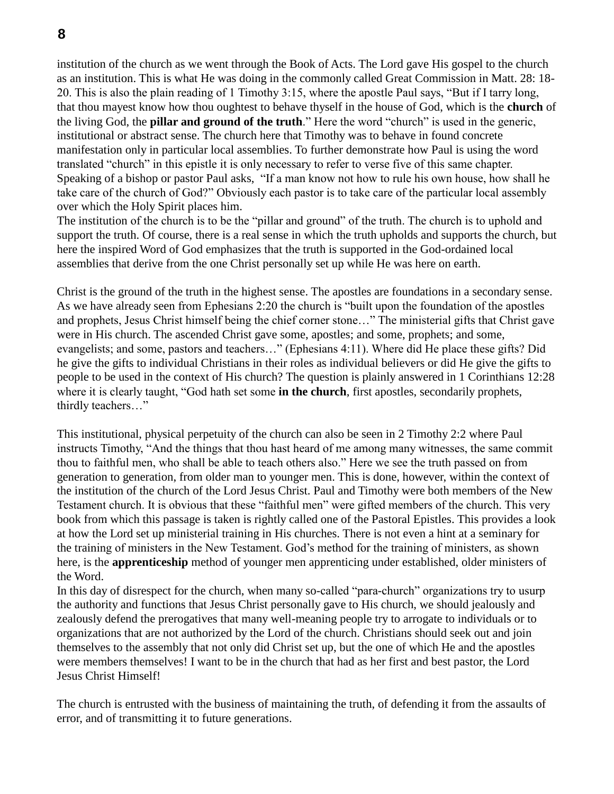institution of the church as we went through the Book of Acts. The Lord gave His gospel to the church as an institution. This is what He was doing in the commonly called Great Commission in Matt. 28: 18- 20. This is also the plain reading of 1 Timothy 3:15, where the apostle Paul says, "But if I tarry long, that thou mayest know how thou oughtest to behave thyself in the house of God, which is the **church** of the living God, the **pillar and ground of the truth**." Here the word "church" is used in the generic, institutional or abstract sense. The church here that Timothy was to behave in found concrete manifestation only in particular local assemblies. To further demonstrate how Paul is using the word translated "church" in this epistle it is only necessary to refer to verse five of this same chapter. Speaking of a bishop or pastor Paul asks, "If a man know not how to rule his own house, how shall he take care of the church of God?" Obviously each pastor is to take care of the particular local assembly over which the Holy Spirit places him.

The institution of the church is to be the "pillar and ground" of the truth. The church is to uphold and support the truth. Of course, there is a real sense in which the truth upholds and supports the church, but here the inspired Word of God emphasizes that the truth is supported in the God-ordained local assemblies that derive from the one Christ personally set up while He was here on earth.

Christ is the ground of the truth in the highest sense. The apostles are foundations in a secondary sense. As we have already seen from Ephesians 2:20 the church is "built upon the foundation of the apostles and prophets, Jesus Christ himself being the chief corner stone…" The ministerial gifts that Christ gave were in His church. The ascended Christ gave some, apostles; and some, prophets; and some, evangelists; and some, pastors and teachers…" (Ephesians 4:11). Where did He place these gifts? Did he give the gifts to individual Christians in their roles as individual believers or did He give the gifts to people to be used in the context of His church? The question is plainly answered in 1 Corinthians 12:28 where it is clearly taught, "God hath set some **in the church**, first apostles, secondarily prophets, thirdly teachers…"

This institutional, physical perpetuity of the church can also be seen in 2 Timothy 2:2 where Paul instructs Timothy, "And the things that thou hast heard of me among many witnesses, the same commit thou to faithful men, who shall be able to teach others also." Here we see the truth passed on from generation to generation, from older man to younger men. This is done, however, within the context of the institution of the church of the Lord Jesus Christ. Paul and Timothy were both members of the New Testament church. It is obvious that these "faithful men" were gifted members of the church. This very book from which this passage is taken is rightly called one of the Pastoral Epistles. This provides a look at how the Lord set up ministerial training in His churches. There is not even a hint at a seminary for the training of ministers in the New Testament. God's method for the training of ministers, as shown here, is the **apprenticeship** method of younger men apprenticing under established, older ministers of the Word.

In this day of disrespect for the church, when many so-called "para-church" organizations try to usurp the authority and functions that Jesus Christ personally gave to His church, we should jealously and zealously defend the prerogatives that many well-meaning people try to arrogate to individuals or to organizations that are not authorized by the Lord of the church. Christians should seek out and join themselves to the assembly that not only did Christ set up, but the one of which He and the apostles were members themselves! I want to be in the church that had as her first and best pastor, the Lord Jesus Christ Himself!

The church is entrusted with the business of maintaining the truth, of defending it from the assaults of error, and of transmitting it to future generations.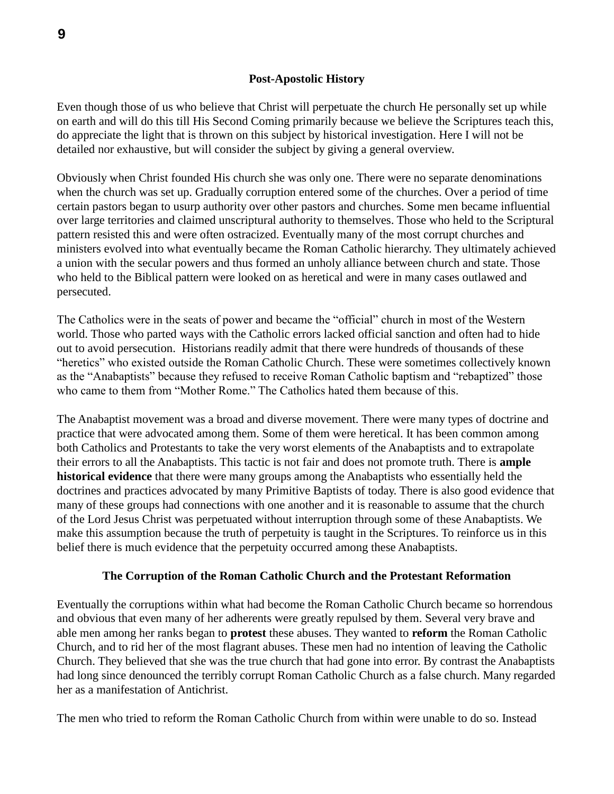#### **Post-Apostolic History**

Even though those of us who believe that Christ will perpetuate the church He personally set up while on earth and will do this till His Second Coming primarily because we believe the Scriptures teach this, do appreciate the light that is thrown on this subject by historical investigation. Here I will not be detailed nor exhaustive, but will consider the subject by giving a general overview.

Obviously when Christ founded His church she was only one. There were no separate denominations when the church was set up. Gradually corruption entered some of the churches. Over a period of time certain pastors began to usurp authority over other pastors and churches. Some men became influential over large territories and claimed unscriptural authority to themselves. Those who held to the Scriptural pattern resisted this and were often ostracized. Eventually many of the most corrupt churches and ministers evolved into what eventually became the Roman Catholic hierarchy. They ultimately achieved a union with the secular powers and thus formed an unholy alliance between church and state. Those who held to the Biblical pattern were looked on as heretical and were in many cases outlawed and persecuted.

The Catholics were in the seats of power and became the "official" church in most of the Western world. Those who parted ways with the Catholic errors lacked official sanction and often had to hide out to avoid persecution. Historians readily admit that there were hundreds of thousands of these "heretics" who existed outside the Roman Catholic Church. These were sometimes collectively known as the "Anabaptists" because they refused to receive Roman Catholic baptism and "rebaptized" those who came to them from "Mother Rome." The Catholics hated them because of this.

The Anabaptist movement was a broad and diverse movement. There were many types of doctrine and practice that were advocated among them. Some of them were heretical. It has been common among both Catholics and Protestants to take the very worst elements of the Anabaptists and to extrapolate their errors to all the Anabaptists. This tactic is not fair and does not promote truth. There is **ample historical evidence** that there were many groups among the Anabaptists who essentially held the doctrines and practices advocated by many Primitive Baptists of today. There is also good evidence that many of these groups had connections with one another and it is reasonable to assume that the church of the Lord Jesus Christ was perpetuated without interruption through some of these Anabaptists. We make this assumption because the truth of perpetuity is taught in the Scriptures. To reinforce us in this belief there is much evidence that the perpetuity occurred among these Anabaptists.

## **The Corruption of the Roman Catholic Church and the Protestant Reformation**

Eventually the corruptions within what had become the Roman Catholic Church became so horrendous and obvious that even many of her adherents were greatly repulsed by them. Several very brave and able men among her ranks began to **protest** these abuses. They wanted to **reform** the Roman Catholic Church, and to rid her of the most flagrant abuses. These men had no intention of leaving the Catholic Church. They believed that she was the true church that had gone into error. By contrast the Anabaptists had long since denounced the terribly corrupt Roman Catholic Church as a false church. Many regarded her as a manifestation of Antichrist.

The men who tried to reform the Roman Catholic Church from within were unable to do so. Instead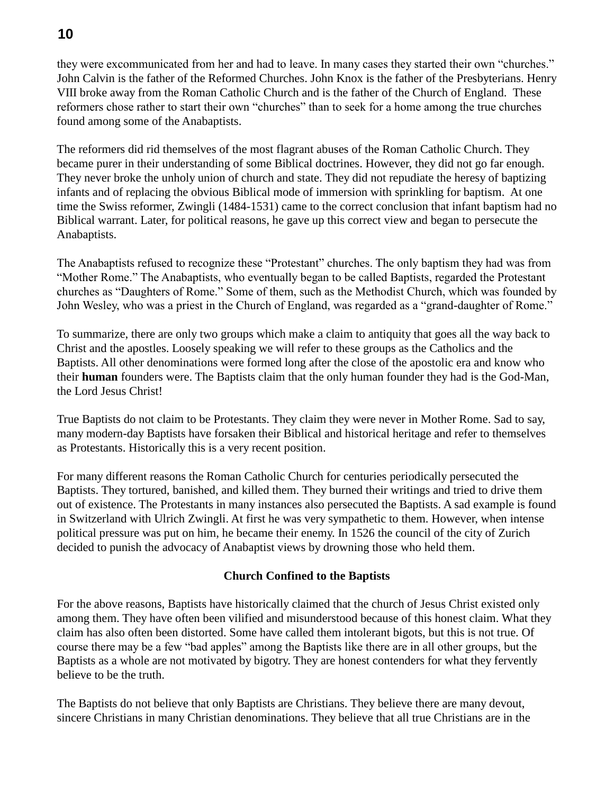they were excommunicated from her and had to leave. In many cases they started their own "churches." John Calvin is the father of the Reformed Churches. John Knox is the father of the Presbyterians. Henry VIII broke away from the Roman Catholic Church and is the father of the Church of England. These reformers chose rather to start their own "churches" than to seek for a home among the true churches found among some of the Anabaptists.

The reformers did rid themselves of the most flagrant abuses of the Roman Catholic Church. They became purer in their understanding of some Biblical doctrines. However, they did not go far enough. They never broke the unholy union of church and state. They did not repudiate the heresy of baptizing infants and of replacing the obvious Biblical mode of immersion with sprinkling for baptism. At one time the Swiss reformer, Zwingli (1484-1531) came to the correct conclusion that infant baptism had no Biblical warrant. Later, for political reasons, he gave up this correct view and began to persecute the Anabaptists.

The Anabaptists refused to recognize these "Protestant" churches. The only baptism they had was from "Mother Rome." The Anabaptists, who eventually began to be called Baptists, regarded the Protestant churches as "Daughters of Rome." Some of them, such as the Methodist Church, which was founded by John Wesley, who was a priest in the Church of England, was regarded as a "grand-daughter of Rome."

To summarize, there are only two groups which make a claim to antiquity that goes all the way back to Christ and the apostles. Loosely speaking we will refer to these groups as the Catholics and the Baptists. All other denominations were formed long after the close of the apostolic era and know who their **human** founders were. The Baptists claim that the only human founder they had is the God-Man, the Lord Jesus Christ!

True Baptists do not claim to be Protestants. They claim they were never in Mother Rome. Sad to say, many modern-day Baptists have forsaken their Biblical and historical heritage and refer to themselves as Protestants. Historically this is a very recent position.

For many different reasons the Roman Catholic Church for centuries periodically persecuted the Baptists. They tortured, banished, and killed them. They burned their writings and tried to drive them out of existence. The Protestants in many instances also persecuted the Baptists. A sad example is found in Switzerland with Ulrich Zwingli. At first he was very sympathetic to them. However, when intense political pressure was put on him, he became their enemy. In 1526 the council of the city of Zurich decided to punish the advocacy of Anabaptist views by drowning those who held them.

# **Church Confined to the Baptists**

For the above reasons, Baptists have historically claimed that the church of Jesus Christ existed only among them. They have often been vilified and misunderstood because of this honest claim. What they claim has also often been distorted. Some have called them intolerant bigots, but this is not true. Of course there may be a few "bad apples" among the Baptists like there are in all other groups, but the Baptists as a whole are not motivated by bigotry. They are honest contenders for what they fervently believe to be the truth.

The Baptists do not believe that only Baptists are Christians. They believe there are many devout, sincere Christians in many Christian denominations. They believe that all true Christians are in the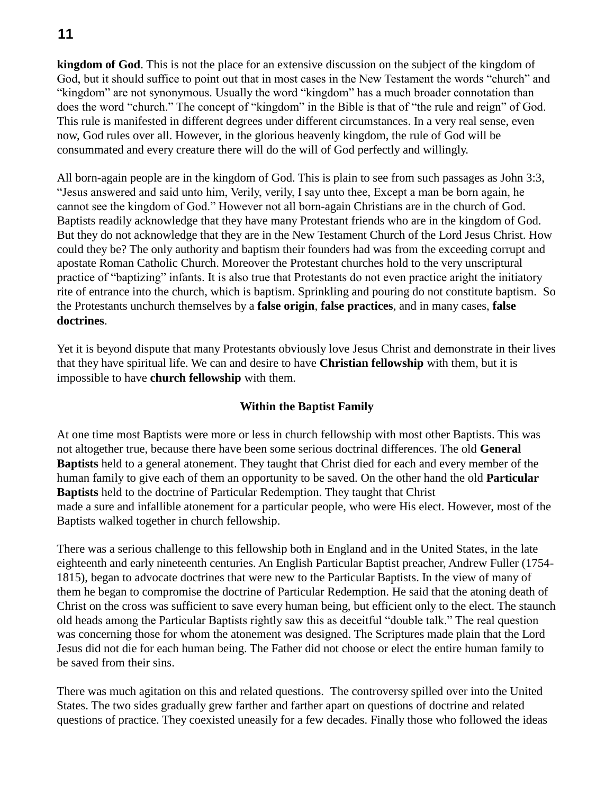# **11**

**kingdom of God**. This is not the place for an extensive discussion on the subject of the kingdom of God, but it should suffice to point out that in most cases in the New Testament the words "church" and "kingdom" are not synonymous. Usually the word "kingdom" has a much broader connotation than does the word "church." The concept of "kingdom" in the Bible is that of "the rule and reign" of God. This rule is manifested in different degrees under different circumstances. In a very real sense, even now, God rules over all. However, in the glorious heavenly kingdom, the rule of God will be consummated and every creature there will do the will of God perfectly and willingly.

All born-again people are in the kingdom of God. This is plain to see from such passages as John 3:3, "Jesus answered and said unto him, Verily, verily, I say unto thee, Except a man be born again, he cannot see the kingdom of God." However not all born-again Christians are in the church of God. Baptists readily acknowledge that they have many Protestant friends who are in the kingdom of God. But they do not acknowledge that they are in the New Testament Church of the Lord Jesus Christ. How could they be? The only authority and baptism their founders had was from the exceeding corrupt and apostate Roman Catholic Church. Moreover the Protestant churches hold to the very unscriptural practice of "baptizing" infants. It is also true that Protestants do not even practice aright the initiatory rite of entrance into the church, which is baptism. Sprinkling and pouring do not constitute baptism. So the Protestants unchurch themselves by a **false origin**, **false practices**, and in many cases, **false doctrines**.

Yet it is beyond dispute that many Protestants obviously love Jesus Christ and demonstrate in their lives that they have spiritual life. We can and desire to have **Christian fellowship** with them, but it is impossible to have **church fellowship** with them.

# **Within the Baptist Family**

At one time most Baptists were more or less in church fellowship with most other Baptists. This was not altogether true, because there have been some serious doctrinal differences. The old **General Baptists** held to a general atonement. They taught that Christ died for each and every member of the human family to give each of them an opportunity to be saved. On the other hand the old **Particular Baptists** held to the doctrine of Particular Redemption. They taught that Christ made a sure and infallible atonement for a particular people, who were His elect. However, most of the Baptists walked together in church fellowship.

There was a serious challenge to this fellowship both in England and in the United States, in the late eighteenth and early nineteenth centuries. An English Particular Baptist preacher, Andrew Fuller (1754- 1815), began to advocate doctrines that were new to the Particular Baptists. In the view of many of them he began to compromise the doctrine of Particular Redemption. He said that the atoning death of Christ on the cross was sufficient to save every human being, but efficient only to the elect. The staunch old heads among the Particular Baptists rightly saw this as deceitful "double talk." The real question was concerning those for whom the atonement was designed. The Scriptures made plain that the Lord Jesus did not die for each human being. The Father did not choose or elect the entire human family to be saved from their sins.

There was much agitation on this and related questions. The controversy spilled over into the United States. The two sides gradually grew farther and farther apart on questions of doctrine and related questions of practice. They coexisted uneasily for a few decades. Finally those who followed the ideas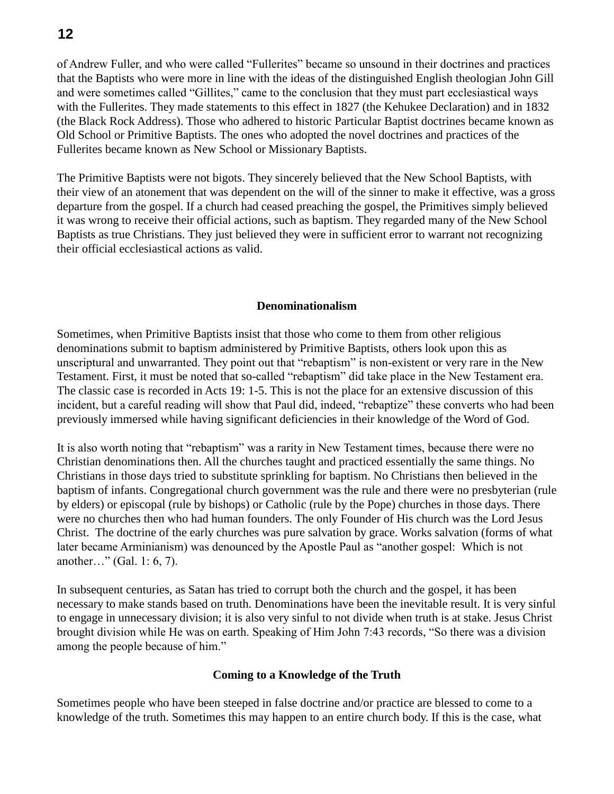of Andrew Fuller, and who were called "Fullerites" became so unsound in their doctrines and practices that the Baptists who were more in line with the ideas of the distinguished English theologian John Gill and were sometimes called "Gillites," came to the conclusion that they must part ecclesiastical ways with the Fullerites. They made statements to this effect in 1827 (the Kehukee Declaration) and in 1832 (the Black Rock Address). Those who adhered to historic Particular Baptist doctrines became known as Old School or Primitive Baptists. The ones who adopted the novel doctrines and practices of the Fullerites became known as New School or Missionary Baptists.

The Primitive Baptists were not bigots. They sincerely believed that the New School Baptists, with their view of an atonement that was dependent on the will of the sinner to make it effective, was a gross departure from the gospel. If a church had ceased preaching the gospel, the Primitives simply believed it was wrong to receive their official actions, such as baptism. They regarded many of the New School Baptists as true Christians. They just believed they were in sufficient error to warrant not recognizing their official ecclesiastical actions as valid.

#### **Denominationalism**

Sometimes, when Primitive Baptists insist that those who come to them from other religious denominations submit to baptism administered by Primitive Baptists, others look upon this as unscriptural and unwarranted. They point out that "rebaptism" is non-existent or very rare in the New Testament. First, it must be noted that so-called "rebaptism" did take place in the New Testament era. The classic case is recorded in Acts 19: 1-5. This is not the place for an extensive discussion of this incident, but a careful reading will show that Paul did, indeed, "rebaptize" these converts who had been previously immersed while having significant deficiencies in their knowledge of the Word of God.

It is also worth noting that "rebaptism" was a rarity in New Testament times, because there were no Christian denominations then. All the churches taught and practiced essentially the same things. No Christians in those days tried to substitute sprinkling for baptism. No Christians then believed in the baptism of infants. Congregational church government was the rule and there were no presbyterian (rule by elders) or episcopal (rule by bishops) or Catholic (rule by the Pope) churches in those days. There were no churches then who had human founders. The only Founder of His church was the Lord Jesus Christ. The doctrine of the early churches was pure salvation by grace. Works salvation (forms of what later became Arminianism) was denounced by the Apostle Paul as "another gospel: Which is not another…" (Gal. 1: 6, 7).

In subsequent centuries, as Satan has tried to corrupt both the church and the gospel, it has been necessary to make stands based on truth. Denominations have been the inevitable result. It is very sinful to engage in unnecessary division; it is also very sinful to not divide when truth is at stake. Jesus Christ brought division while He was on earth. Speaking of Him John 7:43 records, "So there was a division among the people because of him."

#### **Coming to a Knowledge of the Truth**

Sometimes people who have been steeped in false doctrine and/or practice are blessed to come to a knowledge of the truth. Sometimes this may happen to an entire church body. If this is the case, what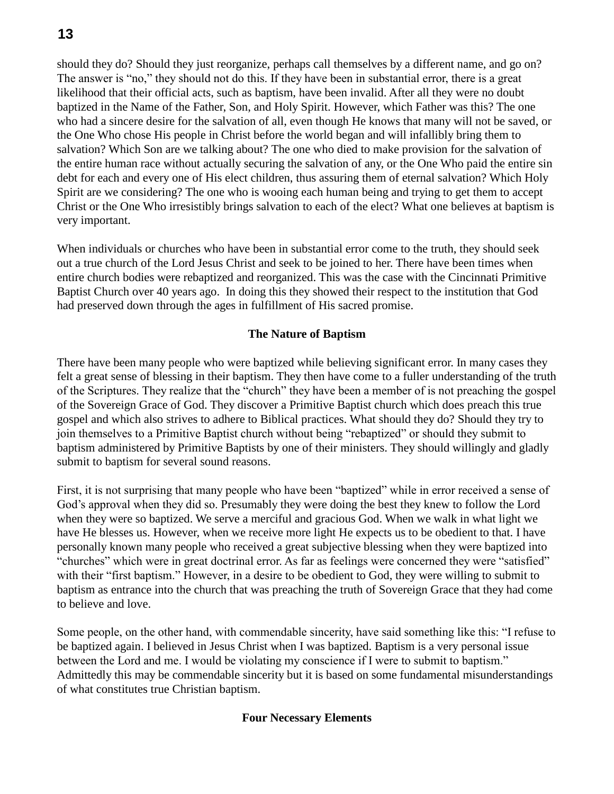should they do? Should they just reorganize, perhaps call themselves by a different name, and go on? The answer is "no," they should not do this. If they have been in substantial error, there is a great likelihood that their official acts, such as baptism, have been invalid. After all they were no doubt baptized in the Name of the Father, Son, and Holy Spirit. However, which Father was this? The one who had a sincere desire for the salvation of all, even though He knows that many will not be saved, or the One Who chose His people in Christ before the world began and will infallibly bring them to salvation? Which Son are we talking about? The one who died to make provision for the salvation of the entire human race without actually securing the salvation of any, or the One Who paid the entire sin debt for each and every one of His elect children, thus assuring them of eternal salvation? Which Holy Spirit are we considering? The one who is wooing each human being and trying to get them to accept Christ or the One Who irresistibly brings salvation to each of the elect? What one believes at baptism is very important.

When individuals or churches who have been in substantial error come to the truth, they should seek out a true church of the Lord Jesus Christ and seek to be joined to her. There have been times when entire church bodies were rebaptized and reorganized. This was the case with the Cincinnati Primitive Baptist Church over 40 years ago. In doing this they showed their respect to the institution that God had preserved down through the ages in fulfillment of His sacred promise.

## **The Nature of Baptism**

There have been many people who were baptized while believing significant error. In many cases they felt a great sense of blessing in their baptism. They then have come to a fuller understanding of the truth of the Scriptures. They realize that the "church" they have been a member of is not preaching the gospel of the Sovereign Grace of God. They discover a Primitive Baptist church which does preach this true gospel and which also strives to adhere to Biblical practices. What should they do? Should they try to join themselves to a Primitive Baptist church without being "rebaptized" or should they submit to baptism administered by Primitive Baptists by one of their ministers. They should willingly and gladly submit to baptism for several sound reasons.

First, it is not surprising that many people who have been "baptized" while in error received a sense of God's approval when they did so. Presumably they were doing the best they knew to follow the Lord when they were so baptized. We serve a merciful and gracious God. When we walk in what light we have He blesses us. However, when we receive more light He expects us to be obedient to that. I have personally known many people who received a great subjective blessing when they were baptized into "churches" which were in great doctrinal error. As far as feelings were concerned they were "satisfied" with their "first baptism." However, in a desire to be obedient to God, they were willing to submit to baptism as entrance into the church that was preaching the truth of Sovereign Grace that they had come to believe and love.

Some people, on the other hand, with commendable sincerity, have said something like this: "I refuse to be baptized again. I believed in Jesus Christ when I was baptized. Baptism is a very personal issue between the Lord and me. I would be violating my conscience if I were to submit to baptism." Admittedly this may be commendable sincerity but it is based on some fundamental misunderstandings of what constitutes true Christian baptism.

#### **Four Necessary Elements**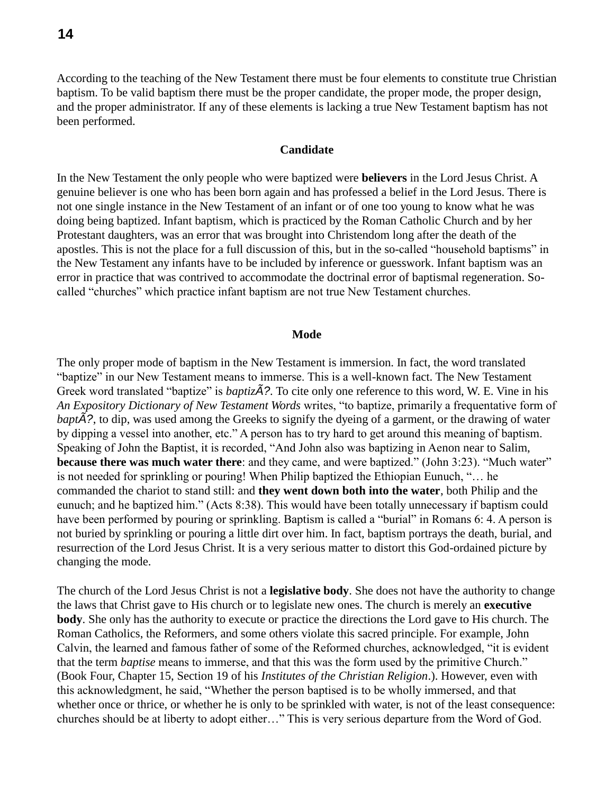According to the teaching of the New Testament there must be four elements to constitute true Christian baptism. To be valid baptism there must be the proper candidate, the proper mode, the proper design, and the proper administrator. If any of these elements is lacking a true New Testament baptism has not been performed.

#### **Candidate**

In the New Testament the only people who were baptized were **believers** in the Lord Jesus Christ. A genuine believer is one who has been born again and has professed a belief in the Lord Jesus. There is not one single instance in the New Testament of an infant or of one too young to know what he was doing being baptized. Infant baptism, which is practiced by the Roman Catholic Church and by her Protestant daughters, was an error that was brought into Christendom long after the death of the apostles. This is not the place for a full discussion of this, but in the so-called "household baptisms" in the New Testament any infants have to be included by inference or guesswork. Infant baptism was an error in practice that was contrived to accommodate the doctrinal error of baptismal regeneration. Socalled "churches" which practice infant baptism are not true New Testament churches.

#### **Mode**

The only proper mode of baptism in the New Testament is immersion. In fact, the word translated "baptize" in our New Testament means to immerse. This is a well-known fact. The New Testament Greek word translated "baptize" is *baptizÃ?.* To cite only one reference to this word, W. E. Vine in his *An Expository Dictionary of New Testament Words* writes, "to baptize, primarily a frequentative form of *baptÃ?*, to dip, was used among the Greeks to signify the dyeing of a garment, or the drawing of water by dipping a vessel into another, etc." A person has to try hard to get around this meaning of baptism. Speaking of John the Baptist, it is recorded, "And John also was baptizing in Aenon near to Salim, **because there was much water there**: and they came, and were baptized." (John 3:23). "Much water" is not needed for sprinkling or pouring! When Philip baptized the Ethiopian Eunuch, "… he commanded the chariot to stand still: and **they went down both into the water**, both Philip and the eunuch; and he baptized him." (Acts 8:38). This would have been totally unnecessary if baptism could have been performed by pouring or sprinkling. Baptism is called a "burial" in Romans 6: 4. A person is not buried by sprinkling or pouring a little dirt over him. In fact, baptism portrays the death, burial, and resurrection of the Lord Jesus Christ. It is a very serious matter to distort this God-ordained picture by changing the mode.

The church of the Lord Jesus Christ is not a **legislative body**. She does not have the authority to change the laws that Christ gave to His church or to legislate new ones. The church is merely an **executive body**. She only has the authority to execute or practice the directions the Lord gave to His church. The Roman Catholics, the Reformers, and some others violate this sacred principle. For example, John Calvin, the learned and famous father of some of the Reformed churches, acknowledged, "it is evident that the term *baptise* means to immerse, and that this was the form used by the primitive Church." (Book Four, Chapter 15, Section 19 of his *Institutes of the Christian Religion*.). However, even with this acknowledgment, he said, "Whether the person baptised is to be wholly immersed, and that whether once or thrice, or whether he is only to be sprinkled with water, is not of the least consequence: churches should be at liberty to adopt either…" This is very serious departure from the Word of God.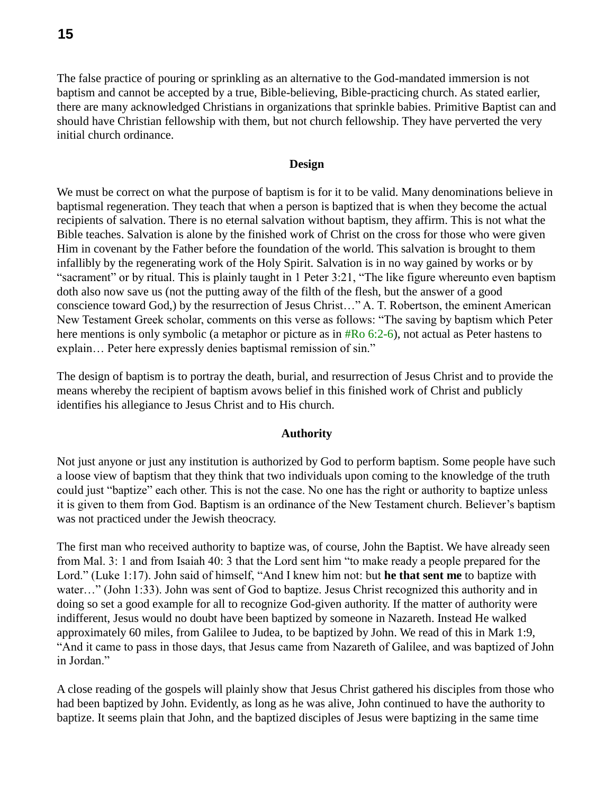The false practice of pouring or sprinkling as an alternative to the God-mandated immersion is not baptism and cannot be accepted by a true, Bible-believing, Bible-practicing church. As stated earlier, there are many acknowledged Christians in organizations that sprinkle babies. Primitive Baptist can and should have Christian fellowship with them, but not church fellowship. They have perverted the very initial church ordinance.

#### **Design**

We must be correct on what the purpose of baptism is for it to be valid. Many denominations believe in baptismal regeneration. They teach that when a person is baptized that is when they become the actual recipients of salvation. There is no eternal salvation without baptism, they affirm. This is not what the Bible teaches. Salvation is alone by the finished work of Christ on the cross for those who were given Him in covenant by the Father before the foundation of the world. This salvation is brought to them infallibly by the regenerating work of the Holy Spirit. Salvation is in no way gained by works or by "sacrament" or by ritual. This is plainly taught in 1 Peter 3:21, "The like figure whereunto even baptism doth also now save us (not the putting away of the filth of the flesh, but the answer of a good conscience toward God,) by the resurrection of Jesus Christ…" A. T. Robertson, the eminent American New Testament Greek scholar, comments on this verse as follows: "The saving by baptism which Peter here mentions is only symbolic (a metaphor or picture as in #Ro 6:2-6), not actual as Peter hastens to explain… Peter here expressly denies baptismal remission of sin."

The design of baptism is to portray the death, burial, and resurrection of Jesus Christ and to provide the means whereby the recipient of baptism avows belief in this finished work of Christ and publicly identifies his allegiance to Jesus Christ and to His church.

#### **Authority**

Not just anyone or just any institution is authorized by God to perform baptism. Some people have such a loose view of baptism that they think that two individuals upon coming to the knowledge of the truth could just "baptize" each other. This is not the case. No one has the right or authority to baptize unless it is given to them from God. Baptism is an ordinance of the New Testament church. Believer's baptism was not practiced under the Jewish theocracy.

The first man who received authority to baptize was, of course, John the Baptist. We have already seen from Mal. 3: 1 and from Isaiah 40: 3 that the Lord sent him "to make ready a people prepared for the Lord." (Luke 1:17). John said of himself, "And I knew him not: but **he that sent me** to baptize with water…" (John 1:33). John was sent of God to baptize. Jesus Christ recognized this authority and in doing so set a good example for all to recognize God-given authority. If the matter of authority were indifferent, Jesus would no doubt have been baptized by someone in Nazareth. Instead He walked approximately 60 miles, from Galilee to Judea, to be baptized by John. We read of this in Mark 1:9, "And it came to pass in those days, that Jesus came from Nazareth of Galilee, and was baptized of John in Jordan."

A close reading of the gospels will plainly show that Jesus Christ gathered his disciples from those who had been baptized by John. Evidently, as long as he was alive, John continued to have the authority to baptize. It seems plain that John, and the baptized disciples of Jesus were baptizing in the same time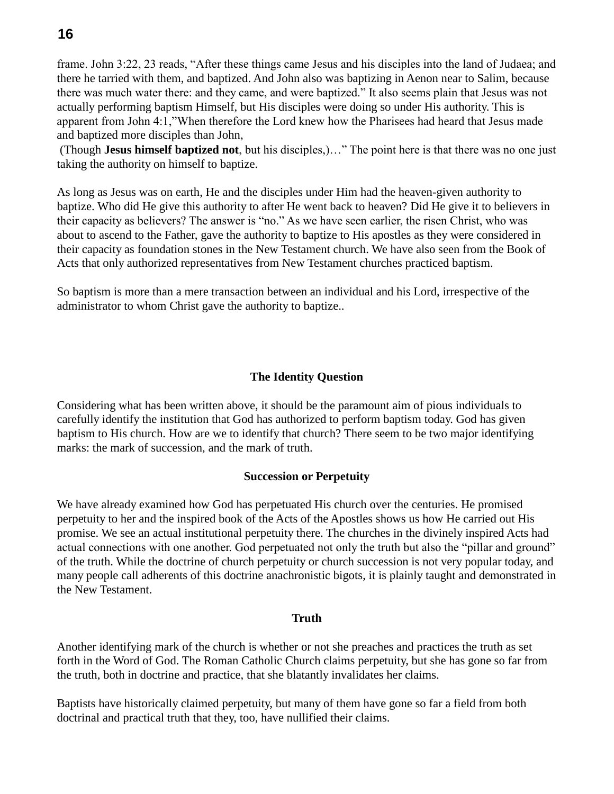frame. John 3:22, 23 reads, "After these things came Jesus and his disciples into the land of Judaea; and there he tarried with them, and baptized. And John also was baptizing in Aenon near to Salim, because there was much water there: and they came, and were baptized." It also seems plain that Jesus was not actually performing baptism Himself, but His disciples were doing so under His authority. This is apparent from John 4:1,"When therefore the Lord knew how the Pharisees had heard that Jesus made and baptized more disciples than John,

(Though **Jesus himself baptized not**, but his disciples,)…" The point here is that there was no one just taking the authority on himself to baptize.

As long as Jesus was on earth, He and the disciples under Him had the heaven-given authority to baptize. Who did He give this authority to after He went back to heaven? Did He give it to believers in their capacity as believers? The answer is "no." As we have seen earlier, the risen Christ, who was about to ascend to the Father, gave the authority to baptize to His apostles as they were considered in their capacity as foundation stones in the New Testament church. We have also seen from the Book of Acts that only authorized representatives from New Testament churches practiced baptism.

So baptism is more than a mere transaction between an individual and his Lord, irrespective of the administrator to whom Christ gave the authority to baptize..

# **The Identity Question**

Considering what has been written above, it should be the paramount aim of pious individuals to carefully identify the institution that God has authorized to perform baptism today. God has given baptism to His church. How are we to identify that church? There seem to be two major identifying marks: the mark of succession, and the mark of truth.

## **Succession or Perpetuity**

We have already examined how God has perpetuated His church over the centuries. He promised perpetuity to her and the inspired book of the Acts of the Apostles shows us how He carried out His promise. We see an actual institutional perpetuity there. The churches in the divinely inspired Acts had actual connections with one another. God perpetuated not only the truth but also the "pillar and ground" of the truth. While the doctrine of church perpetuity or church succession is not very popular today, and many people call adherents of this doctrine anachronistic bigots, it is plainly taught and demonstrated in the New Testament.

#### **Truth**

Another identifying mark of the church is whether or not she preaches and practices the truth as set forth in the Word of God. The Roman Catholic Church claims perpetuity, but she has gone so far from the truth, both in doctrine and practice, that she blatantly invalidates her claims.

Baptists have historically claimed perpetuity, but many of them have gone so far a field from both doctrinal and practical truth that they, too, have nullified their claims.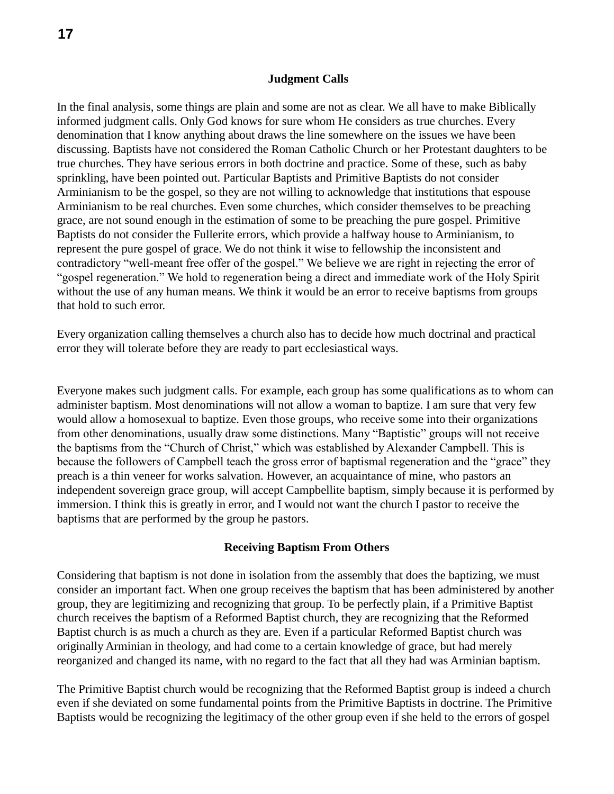#### **Judgment Calls**

In the final analysis, some things are plain and some are not as clear. We all have to make Biblically informed judgment calls. Only God knows for sure whom He considers as true churches. Every denomination that I know anything about draws the line somewhere on the issues we have been discussing. Baptists have not considered the Roman Catholic Church or her Protestant daughters to be true churches. They have serious errors in both doctrine and practice. Some of these, such as baby sprinkling, have been pointed out. Particular Baptists and Primitive Baptists do not consider Arminianism to be the gospel, so they are not willing to acknowledge that institutions that espouse Arminianism to be real churches. Even some churches, which consider themselves to be preaching grace, are not sound enough in the estimation of some to be preaching the pure gospel. Primitive Baptists do not consider the Fullerite errors, which provide a halfway house to Arminianism, to represent the pure gospel of grace. We do not think it wise to fellowship the inconsistent and contradictory "well-meant free offer of the gospel." We believe we are right in rejecting the error of "gospel regeneration." We hold to regeneration being a direct and immediate work of the Holy Spirit without the use of any human means. We think it would be an error to receive baptisms from groups that hold to such error.

Every organization calling themselves a church also has to decide how much doctrinal and practical error they will tolerate before they are ready to part ecclesiastical ways.

Everyone makes such judgment calls. For example, each group has some qualifications as to whom can administer baptism. Most denominations will not allow a woman to baptize. I am sure that very few would allow a homosexual to baptize. Even those groups, who receive some into their organizations from other denominations, usually draw some distinctions. Many "Baptistic" groups will not receive the baptisms from the "Church of Christ," which was established by Alexander Campbell. This is because the followers of Campbell teach the gross error of baptismal regeneration and the "grace" they preach is a thin veneer for works salvation. However, an acquaintance of mine, who pastors an independent sovereign grace group, will accept Campbellite baptism, simply because it is performed by immersion. I think this is greatly in error, and I would not want the church I pastor to receive the baptisms that are performed by the group he pastors.

#### **Receiving Baptism From Others**

Considering that baptism is not done in isolation from the assembly that does the baptizing, we must consider an important fact. When one group receives the baptism that has been administered by another group, they are legitimizing and recognizing that group. To be perfectly plain, if a Primitive Baptist church receives the baptism of a Reformed Baptist church, they are recognizing that the Reformed Baptist church is as much a church as they are. Even if a particular Reformed Baptist church was originally Arminian in theology, and had come to a certain knowledge of grace, but had merely reorganized and changed its name, with no regard to the fact that all they had was Arminian baptism.

The Primitive Baptist church would be recognizing that the Reformed Baptist group is indeed a church even if she deviated on some fundamental points from the Primitive Baptists in doctrine. The Primitive Baptists would be recognizing the legitimacy of the other group even if she held to the errors of gospel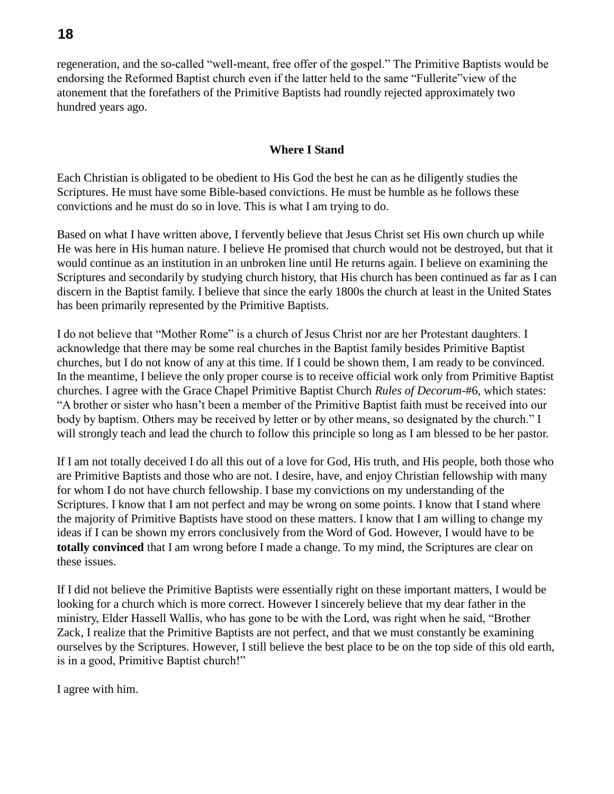regeneration, and the so-called "well-meant, free offer of the gospel." The Primitive Baptists would be endorsing the Reformed Baptist church even if the latter held to the same "Fullerite"view of the atonement that the forefathers of the Primitive Baptists had roundly rejected approximately two hundred years ago.

## **Where I Stand**

Each Christian is obligated to be obedient to His God the best he can as he diligently studies the Scriptures. He must have some Bible-based convictions. He must be humble as he follows these convictions and he must do so in love. This is what I am trying to do.

Based on what I have written above, I fervently believe that Jesus Christ set His own church up while He was here in His human nature. I believe He promised that church would not be destroyed, but that it would continue as an institution in an unbroken line until He returns again. I believe on examining the Scriptures and secondarily by studying church history, that His church has been continued as far as I can discern in the Baptist family. I believe that since the early 1800s the church at least in the United States has been primarily represented by the Primitive Baptists.

I do not believe that "Mother Rome" is a church of Jesus Christ nor are her Protestant daughters. I acknowledge that there may be some real churches in the Baptist family besides Primitive Baptist churches, but I do not know of any at this time. If I could be shown them, I am ready to be convinced. In the meantime, I believe the only proper course is to receive official work only from Primitive Baptist churches. I agree with the Grace Chapel Primitive Baptist Church *Rules of Decorum*-#6, which states: "A brother or sister who hasn't been a member of the Primitive Baptist faith must be received into our body by baptism. Others may be received by letter or by other means, so designated by the church." I will strongly teach and lead the church to follow this principle so long as I am blessed to be her pastor.

If I am not totally deceived I do all this out of a love for God, His truth, and His people, both those who are Primitive Baptists and those who are not. I desire, have, and enjoy Christian fellowship with many for whom I do not have church fellowship. I base my convictions on my understanding of the Scriptures. I know that I am not perfect and may be wrong on some points. I know that I stand where the majority of Primitive Baptists have stood on these matters. I know that I am willing to change my ideas if I can be shown my errors conclusively from the Word of God. However, I would have to be **totally convinced** that I am wrong before I made a change. To my mind, the Scriptures are clear on these issues.

If I did not believe the Primitive Baptists were essentially right on these important matters, I would be looking for a church which is more correct. However I sincerely believe that my dear father in the ministry, Elder Hassell Wallis, who has gone to be with the Lord, was right when he said, "Brother Zack, I realize that the Primitive Baptists are not perfect, and that we must constantly be examining ourselves by the Scriptures. However, I still believe the best place to be on the top side of this old earth, is in a good, Primitive Baptist church!"

I agree with him.